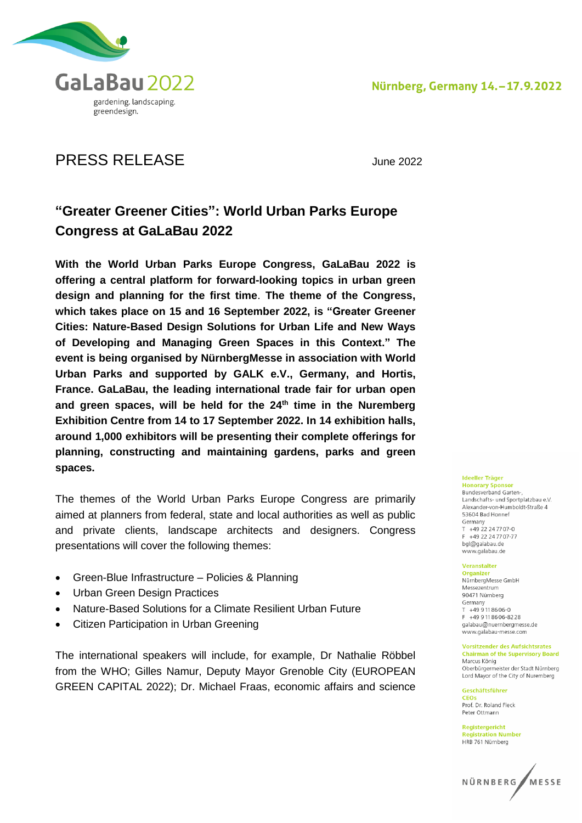

# PRESS RELEASE June 2022

## **"Greater Greener Cities": World Urban Parks Europe Congress at GaLaBau 2022**

**With the World Urban Parks Europe Congress, GaLaBau 2022 is offering a central platform for forward-looking topics in urban green design and planning for the first time**. **The theme of the Congress, which takes place on 15 and 16 September 2022, is "Greater Greener Cities: Nature-Based Design Solutions for Urban Life and New Ways of Developing and Managing Green Spaces in this Context." The event is being organised by NürnbergMesse in association with World Urban Parks and supported by GALK e.V., Germany, and Hortis, France. GaLaBau, the leading international trade fair for urban open and green spaces, will be held for the 24th time in the Nuremberg Exhibition Centre from 14 to 17 September 2022. In 14 exhibition halls, around 1,000 exhibitors will be presenting their complete offerings for planning, constructing and maintaining gardens, parks and green spaces.**

The themes of the World Urban Parks Europe Congress are primarily aimed at planners from federal, state and local authorities as well as public and private clients, landscape architects and designers. Congress presentations will cover the following themes:

- Green-Blue Infrastructure Policies & Planning
- Urban Green Design Practices
- Nature-Based Solutions for a Climate Resilient Urban Future
- Citizen Participation in Urban Greening

The international speakers will include, for example, Dr Nathalie Röbbel from the WHO; Gilles Namur, Deputy Mayor Grenoble City (EUROPEAN GREEN CAPITAL 2022); Dr. Michael Fraas, economic affairs and science

#### **Ideeller Träger**

**Honorary Sponsor Bundesverband Garten-**Landschafts- und Sportplatzbau e.V Alexander-von-Humboldt-Straße 4 53604 Bad Honnef Germany  $T + 4922247707-0$ F +49 22 24 77 07-77 bgl@galabau.de www.galabau.de

#### Veranstalter

Organizer NürnberaMesse GmbH Messezentrum 90471 Nürnberg Germany  $T + 499118606 - 0$ F +49 9 11 86 06-82 28 galabau@nuernbergmesse.de www.galabau-messe.com

#### **Vorsitzender des Aufsichtsrates Chairman of the Supervisory Board**

Marcus König Oberbürgermeister der Stadt Nürnberg Lord Mayor of the City of Nuremberg

Geschäftsführer **CEOs** Prof. Dr. Roland Fleck Peter Ottmann

Registergericht **Registration Number** HRB 761 Nürnberg

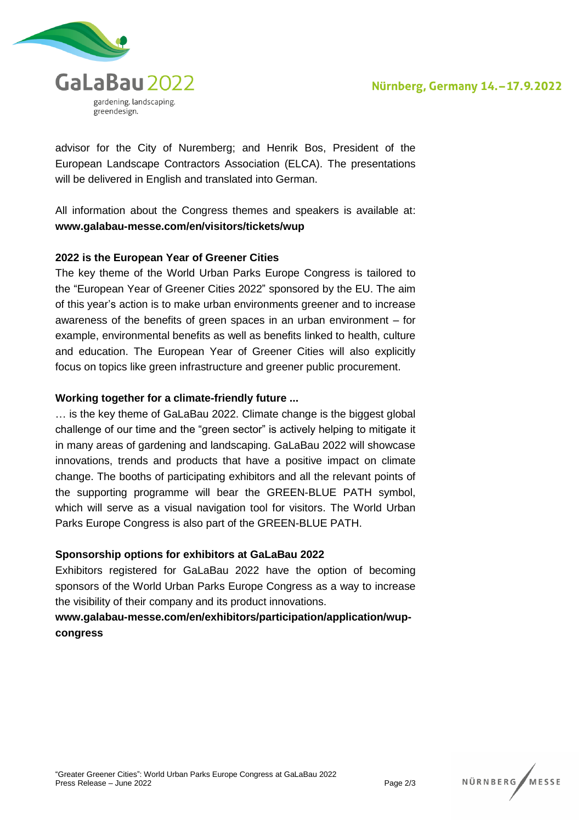

advisor for the City of Nuremberg; and Henrik Bos, President of the European Landscape Contractors Association (ELCA). The presentations will be delivered in English and translated into German.

All information about the Congress themes and speakers is available at: **www.galabau-messe.com/en/visitors/tickets/wup**

### **2022 is the European Year of Greener Cities**

The key theme of the World Urban Parks Europe Congress is tailored to the "European Year of Greener Cities 2022" sponsored by the EU. The aim of this year's action is to make urban environments greener and to increase awareness of the benefits of green spaces in an urban environment – for example, environmental benefits as well as benefits linked to health, culture and education. The European Year of Greener Cities will also explicitly focus on topics like green infrastructure and greener public procurement.

#### **Working together for a climate-friendly future ...**

… is the key theme of GaLaBau 2022. Climate change is the biggest global challenge of our time and the "green sector" is actively helping to mitigate it in many areas of gardening and landscaping. GaLaBau 2022 will showcase innovations, trends and products that have a positive impact on climate change. The booths of participating exhibitors and all the relevant points of the supporting programme will bear the GREEN-BLUE PATH symbol, which will serve as a visual navigation tool for visitors. The World Urban Parks Europe Congress is also part of the GREEN-BLUE PATH.

#### **Sponsorship options for exhibitors at GaLaBau 2022**

Exhibitors registered for GaLaBau 2022 have the option of becoming sponsors of the World Urban Parks Europe Congress as a way to increase the visibility of their company and its product innovations.

### **www.galabau-messe.com/en/exhibitors/participation/application/wupcongress**